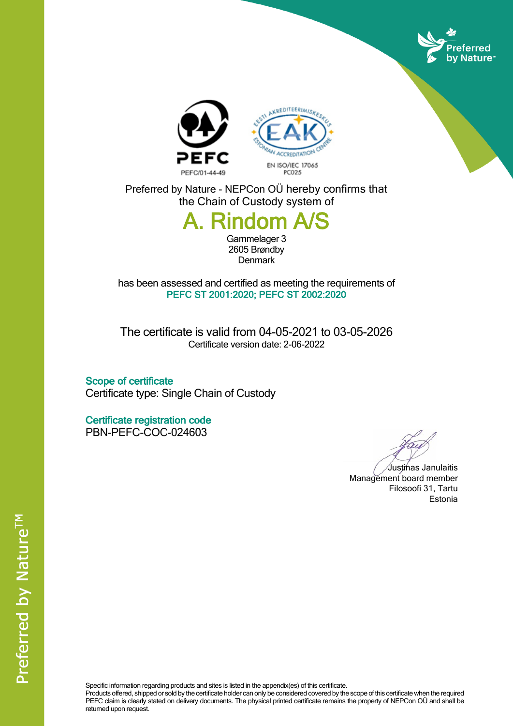





Preferred by Nature - NEPCon OÜ hereby confirms that the Chain of Custody system of

## **A. Rindom A/S**

Gammelager 3 2605 Brøndby **Denmark** 

has been assessed and certified as meeting the requirements of **PEFC ST 2001:2020; PEFC ST 2002:2020**

The certificate is valid from 04-05-2021 to 03-05-2026 Certificate version date: 2-06-2022

**Scope of certificate** Certificate type: Single Chain of Custody

**Certificate registration code** PBN-PEFC-COC-024603

Justinas Janulaitis Management board member Filosoofi 31, Tartu Estonia

Specific information regarding products and sites is listed in the appendix(es) of this certificate.

Products offered, shipped or sold by the certificate holder can only be considered covered by the scope of this certificate when the required PEFC claim is clearly stated on delivery documents. The physical printed certificate remains the property of NEPCon OÜ and shall be returned upon request.